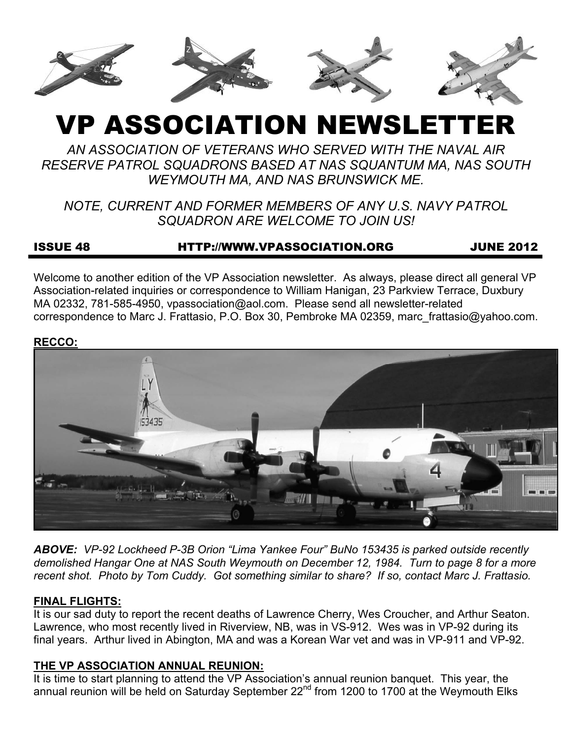

# VP ASSOCIATION NEWSLETTER

*AN ASSOCIATION OF VETERANS WHO SERVED WITH THE NAVAL AIR RESERVE PATROL SQUADRONS BASED AT NAS SQUANTUM MA, NAS SOUTH WEYMOUTH MA, AND NAS BRUNSWICK ME.* 

*NOTE, CURRENT AND FORMER MEMBERS OF ANY U.S. NAVY PATROL SQUADRON ARE WELCOME TO JOIN US!* 

## ISSUE 48 HTTP://WWW.VPASSOCIATION.ORG JUNE 2012

Welcome to another edition of the VP Association newsletter. As always, please direct all general VP Association-related inquiries or correspondence to William Hanigan, 23 Parkview Terrace, Duxbury MA 02332, 781-585-4950, vpassociation@aol.com. Please send all newsletter-related correspondence to Marc J. Frattasio, P.O. Box 30, Pembroke MA 02359, marc\_frattasio@yahoo.com.

#### **RECCO:**



*ABOVE: VP-92 Lockheed P-3B Orion "Lima Yankee Four" BuNo 153435 is parked outside recently demolished Hangar One at NAS South Weymouth on December 12, 1984. Turn to page 8 for a more recent shot. Photo by Tom Cuddy. Got something similar to share? If so, contact Marc J. Frattasio.* 

#### **FINAL FLIGHTS:**

It is our sad duty to report the recent deaths of Lawrence Cherry, Wes Croucher, and Arthur Seaton. Lawrence, who most recently lived in Riverview, NB, was in VS-912. Wes was in VP-92 during its final years. Arthur lived in Abington, MA and was a Korean War vet and was in VP-911 and VP-92.

#### **THE VP ASSOCIATION ANNUAL REUNION:**

It is time to start planning to attend the VP Association's annual reunion banquet. This year, the annual reunion will be held on Saturday September 22<sup>nd</sup> from 1200 to 1700 at the Weymouth Elks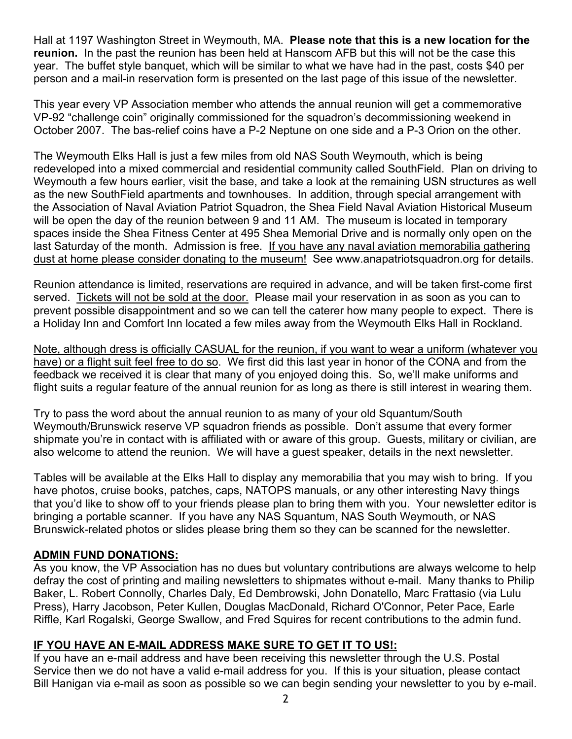Hall at 1197 Washington Street in Weymouth, MA. **Please note that this is a new location for the reunion.** In the past the reunion has been held at Hanscom AFB but this will not be the case this year. The buffet style banquet, which will be similar to what we have had in the past, costs \$40 per person and a mail-in reservation form is presented on the last page of this issue of the newsletter.

This year every VP Association member who attends the annual reunion will get a commemorative VP-92 "challenge coin" originally commissioned for the squadron's decommissioning weekend in October 2007. The bas-relief coins have a P-2 Neptune on one side and a P-3 Orion on the other.

The Weymouth Elks Hall is just a few miles from old NAS South Weymouth, which is being redeveloped into a mixed commercial and residential community called SouthField. Plan on driving to Weymouth a few hours earlier, visit the base, and take a look at the remaining USN structures as well as the new SouthField apartments and townhouses. In addition, through special arrangement with the Association of Naval Aviation Patriot Squadron, the Shea Field Naval Aviation Historical Museum will be open the day of the reunion between 9 and 11 AM. The museum is located in temporary spaces inside the Shea Fitness Center at 495 Shea Memorial Drive and is normally only open on the last Saturday of the month. Admission is free. If you have any naval aviation memorabilia gathering dust at home please consider donating to the museum! See www.anapatriotsquadron.org for details.

Reunion attendance is limited, reservations are required in advance, and will be taken first-come first served. Tickets will not be sold at the door. Please mail your reservation in as soon as you can to prevent possible disappointment and so we can tell the caterer how many people to expect. There is a Holiday Inn and Comfort Inn located a few miles away from the Weymouth Elks Hall in Rockland.

Note, although dress is officially CASUAL for the reunion, if you want to wear a uniform (whatever you have) or a flight suit feel free to do so. We first did this last year in honor of the CONA and from the feedback we received it is clear that many of you enjoyed doing this. So, we'll make uniforms and flight suits a regular feature of the annual reunion for as long as there is still interest in wearing them.

Try to pass the word about the annual reunion to as many of your old Squantum/South Weymouth/Brunswick reserve VP squadron friends as possible. Don't assume that every former shipmate you're in contact with is affiliated with or aware of this group. Guests, military or civilian, are also welcome to attend the reunion. We will have a guest speaker, details in the next newsletter.

Tables will be available at the Elks Hall to display any memorabilia that you may wish to bring. If you have photos, cruise books, patches, caps, NATOPS manuals, or any other interesting Navy things that you'd like to show off to your friends please plan to bring them with you. Your newsletter editor is bringing a portable scanner. If you have any NAS Squantum, NAS South Weymouth, or NAS Brunswick-related photos or slides please bring them so they can be scanned for the newsletter.

#### **ADMIN FUND DONATIONS:**

As you know, the VP Association has no dues but voluntary contributions are always welcome to help defray the cost of printing and mailing newsletters to shipmates without e-mail. Many thanks to Philip Baker, L. Robert Connolly, Charles Daly, Ed Dembrowski, John Donatello, Marc Frattasio (via Lulu Press), Harry Jacobson, Peter Kullen, Douglas MacDonald, Richard O'Connor, Peter Pace, Earle Riffle, Karl Rogalski, George Swallow, and Fred Squires for recent contributions to the admin fund.

#### **IF YOU HAVE AN E-MAIL ADDRESS MAKE SURE TO GET IT TO US!:**

If you have an e-mail address and have been receiving this newsletter through the U.S. Postal Service then we do not have a valid e-mail address for you. If this is your situation, please contact Bill Hanigan via e-mail as soon as possible so we can begin sending your newsletter to you by e-mail.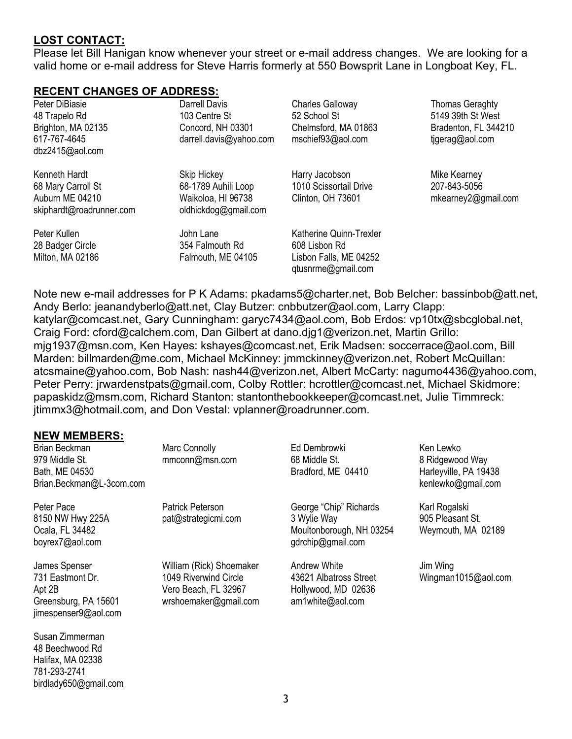# **LOST CONTACT:**

Please let Bill Hanigan know whenever your street or e-mail address changes. We are looking for a valid home or e-mail address for Steve Harris formerly at 550 Bowsprit Lane in Longboat Key, FL.

#### **RECENT CHANGES OF ADDRESS:**

Peter DiBiasie 48 Trapelo Rd Brighton, MA 02135 617-767-4645 dbz2415@aol.com

Kenneth Hardt 68 Mary Carroll St Auburn ME 04210 skiphardt@roadrunner.com

Peter Kullen 28 Badger Circle Milton, MA 02186 Darrell Davis 103 Centre St Concord, NH 03301 darrell.davis@yahoo.com

Skip Hickey 68-1789 Auhili Loop Waikoloa, HI 96738 oldhickdog@gmail.com

John Lane 354 Falmouth Rd Falmouth, ME 04105 Charles Galloway 52 School St Chelmsford, MA 01863 mschief93@aol.com

Harry Jacobson 1010 Scissortail Drive Clinton, OH 73601

Katherine Quinn-Trexler 608 Lisbon Rd Lisbon Falls, ME 04252 qtusnrme@gmail.com

Thomas Geraghty 5149 39th St West Bradenton, FL 344210 tjgerag@aol.com

Mike Kearney 207-843-5056 mkearney2@gmail.com

Note new e-mail addresses for P K Adams: pkadams5@charter.net, Bob Belcher: bassinbob@att.net, Andy Berlo: jeanandyberlo@att.net, Clay Butzer: cnbbutzer@aol.com, Larry Clapp: katylar@comcast.net, Gary Cunningham: garyc7434@aol.com, Bob Erdos: vp10tx@sbcglobal.net, Craig Ford: cford@calchem.com, Dan Gilbert at dano.djg1@verizon.net, Martin Grillo: mjg1937@msn.com, Ken Hayes: kshayes@comcast.net, Erik Madsen: soccerrace@aol.com, Bill Marden: billmarden@me.com, Michael McKinney: jmmckinney@verizon.net, Robert McQuillan: atcsmaine@yahoo.com, Bob Nash: nash44@verizon.net, Albert McCarty: nagumo4436@yahoo.com, Peter Perry: jrwardenstpats@gmail.com, Colby Rottler: hcrottler@comcast.net, Michael Skidmore: papaskidz@msm.com, Richard Stanton: stantonthebookkeeper@comcast.net, Julie Timmreck: jtimmx3@hotmail.com, and Don Vestal: vplanner@roadrunner.com.

#### **NEW MEMBERS:**

Brian Beckman 979 Middle St. Bath, ME 04530 Brian.Beckman@L-3com.com

Peter Pace 8150 NW Hwy 225A Ocala, FL 34482 boyrex7@aol.com

James Spenser 731 Eastmont Dr. Apt 2B Greensburg, PA 15601 jimespenser9@aol.com

Susan Zimmerman 48 Beechwood Rd Halifax, MA 02338 781-293-2741 birdlady650@gmail.com Marc Connolly mmconn@msn.com

Patrick Peterson pat@strategicmi.com

William (Rick) Shoemaker 1049 Riverwind Circle Vero Beach, FL 32967 wrshoemaker@gmail.com George "Chip" Richards

Ed Dembrowki 68 Middle St. Bradford, ME 04410

3 Wylie Way Moultonborough, NH 03254 gdrchip@gmail.com

Andrew White 43621 Albatross Street Hollywood, MD 02636 am1white@aol.com

Ken Lewko 8 Ridgewood Way Harleyville, PA 19438 kenlewko@gmail.com

Karl Rogalski 905 Pleasant St. Weymouth, MA 02189

Jim Wing Wingman1015@aol.com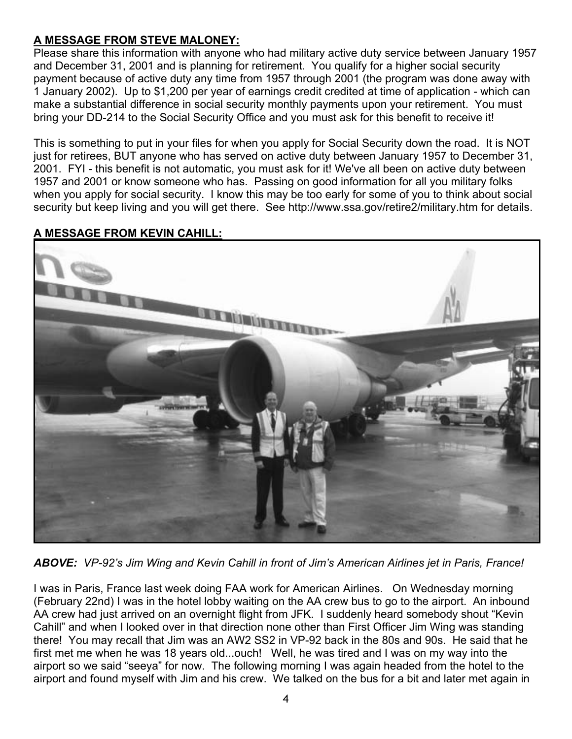# **A MESSAGE FROM STEVE MALONEY:**

Please share this information with anyone who had military active duty service between January 1957 and December 31, 2001 and is planning for retirement. You qualify for a higher social security payment because of active duty any time from 1957 through 2001 (the program was done away with 1 January 2002). Up to \$1,200 per year of earnings credit credited at time of application - which can make a substantial difference in social security monthly payments upon your retirement. You must bring your DD-214 to the Social Security Office and you must ask for this benefit to receive it!

This is something to put in your files for when you apply for Social Security down the road. It is NOT just for retirees, BUT anyone who has served on active duty between January 1957 to December 31, 2001. FYI - this benefit is not automatic, you must ask for it! We've all been on active duty between 1957 and 2001 or know someone who has. Passing on good information for all you military folks when you apply for social security. I know this may be too early for some of you to think about social security but keep living and you will get there. See http://www.ssa.gov/retire2/military.htm for details.

#### **A MESSAGE FROM KEVIN CAHILL:**



*ABOVE: VP-92's Jim Wing and Kevin Cahill in front of Jim's American Airlines jet in Paris, France!* 

I was in Paris, France last week doing FAA work for American Airlines. On Wednesday morning (February 22nd) I was in the hotel lobby waiting on the AA crew bus to go to the airport. An inbound AA crew had just arrived on an overnight flight from JFK. I suddenly heard somebody shout "Kevin Cahill" and when I looked over in that direction none other than First Officer Jim Wing was standing there! You may recall that Jim was an AW2 SS2 in VP-92 back in the 80s and 90s. He said that he first met me when he was 18 years old...ouch! Well, he was tired and I was on my way into the airport so we said "seeya" for now. The following morning I was again headed from the hotel to the airport and found myself with Jim and his crew. We talked on the bus for a bit and later met again in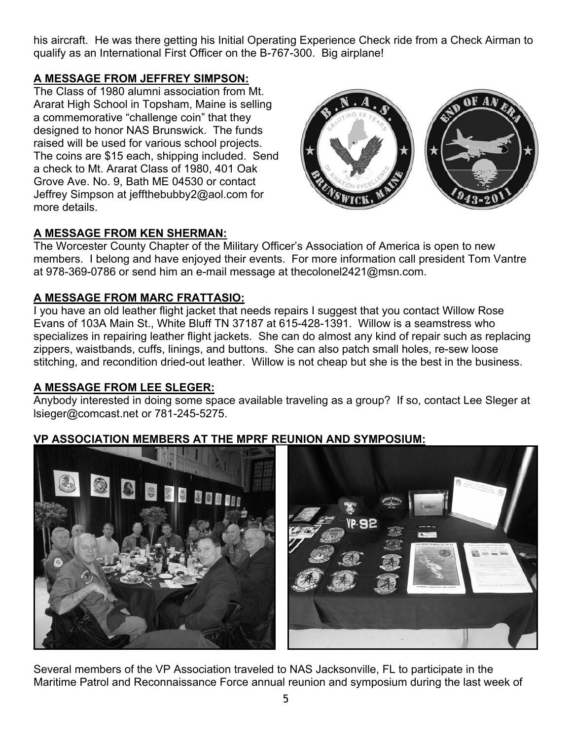his aircraft. He was there getting his Initial Operating Experience Check ride from a Check Airman to qualify as an International First Officer on the B-767-300. Big airplane!

# **A MESSAGE FROM JEFFREY SIMPSON:**

The Class of 1980 alumni association from Mt. Ararat High School in Topsham, Maine is selling a commemorative "challenge coin" that they designed to honor NAS Brunswick. The funds raised will be used for various school projects. The coins are \$15 each, shipping included. Send a check to Mt. Ararat Class of 1980, 401 Oak Grove Ave. No. 9, Bath ME 04530 or contact Jeffrey Simpson at jeffthebubby2@aol.com for more details.



#### **A MESSAGE FROM KEN SHERMAN:**

The Worcester County Chapter of the Military Officer's Association of America is open to new members. I belong and have enjoyed their events. For more information call president Tom Vantre at 978-369-0786 or send him an e-mail message at thecolonel2421@msn.com.

#### **A MESSAGE FROM MARC FRATTASIO:**

I you have an old leather flight jacket that needs repairs I suggest that you contact Willow Rose Evans of 103A Main St., White Bluff TN 37187 at 615-428-1391. Willow is a seamstress who specializes in repairing leather flight jackets. She can do almost any kind of repair such as replacing zippers, waistbands, cuffs, linings, and buttons. She can also patch small holes, re-sew loose stitching, and recondition dried-out leather. Willow is not cheap but she is the best in the business.

#### **A MESSAGE FROM LEE SLEGER:**

Anybody interested in doing some space available traveling as a group? If so, contact Lee Sleger at lsieger@comcast.net or 781-245-5275.

# **VP ASSOCIATION MEMBERS AT THE MPRF REUNION AND SYMPOSIUM:**



Several members of the VP Association traveled to NAS Jacksonville, FL to participate in the Maritime Patrol and Reconnaissance Force annual reunion and symposium during the last week of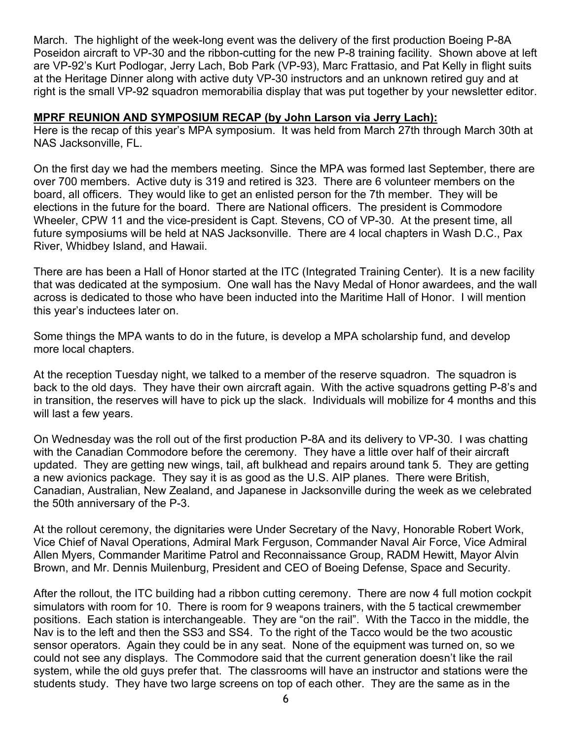March. The highlight of the week-long event was the delivery of the first production Boeing P-8A Poseidon aircraft to VP-30 and the ribbon-cutting for the new P-8 training facility. Shown above at left are VP-92's Kurt Podlogar, Jerry Lach, Bob Park (VP-93), Marc Frattasio, and Pat Kelly in flight suits at the Heritage Dinner along with active duty VP-30 instructors and an unknown retired guy and at right is the small VP-92 squadron memorabilia display that was put together by your newsletter editor.

#### **MPRF REUNION AND SYMPOSIUM RECAP (by John Larson via Jerry Lach):**

Here is the recap of this year's MPA symposium. It was held from March 27th through March 30th at NAS Jacksonville, FL.

On the first day we had the members meeting. Since the MPA was formed last September, there are over 700 members. Active duty is 319 and retired is 323. There are 6 volunteer members on the board, all officers. They would like to get an enlisted person for the 7th member. They will be elections in the future for the board. There are National officers. The president is Commodore Wheeler, CPW 11 and the vice-president is Capt. Stevens, CO of VP-30. At the present time, all future symposiums will be held at NAS Jacksonville. There are 4 local chapters in Wash D.C., Pax River, Whidbey Island, and Hawaii.

There are has been a Hall of Honor started at the ITC (Integrated Training Center). It is a new facility that was dedicated at the symposium. One wall has the Navy Medal of Honor awardees, and the wall across is dedicated to those who have been inducted into the Maritime Hall of Honor. I will mention this year's inductees later on.

Some things the MPA wants to do in the future, is develop a MPA scholarship fund, and develop more local chapters.

At the reception Tuesday night, we talked to a member of the reserve squadron. The squadron is back to the old days. They have their own aircraft again. With the active squadrons getting P-8's and in transition, the reserves will have to pick up the slack. Individuals will mobilize for 4 months and this will last a few years.

On Wednesday was the roll out of the first production P-8A and its delivery to VP-30. I was chatting with the Canadian Commodore before the ceremony. They have a little over half of their aircraft updated. They are getting new wings, tail, aft bulkhead and repairs around tank 5. They are getting a new avionics package. They say it is as good as the U.S. AIP planes. There were British, Canadian, Australian, New Zealand, and Japanese in Jacksonville during the week as we celebrated the 50th anniversary of the P-3.

At the rollout ceremony, the dignitaries were Under Secretary of the Navy, Honorable Robert Work, Vice Chief of Naval Operations, Admiral Mark Ferguson, Commander Naval Air Force, Vice Admiral Allen Myers, Commander Maritime Patrol and Reconnaissance Group, RADM Hewitt, Mayor Alvin Brown, and Mr. Dennis Muilenburg, President and CEO of Boeing Defense, Space and Security.

After the rollout, the ITC building had a ribbon cutting ceremony. There are now 4 full motion cockpit simulators with room for 10. There is room for 9 weapons trainers, with the 5 tactical crewmember positions. Each station is interchangeable. They are "on the rail". With the Tacco in the middle, the Nav is to the left and then the SS3 and SS4. To the right of the Tacco would be the two acoustic sensor operators. Again they could be in any seat. None of the equipment was turned on, so we could not see any displays. The Commodore said that the current generation doesn't like the rail system, while the old guys prefer that. The classrooms will have an instructor and stations were the students study. They have two large screens on top of each other. They are the same as in the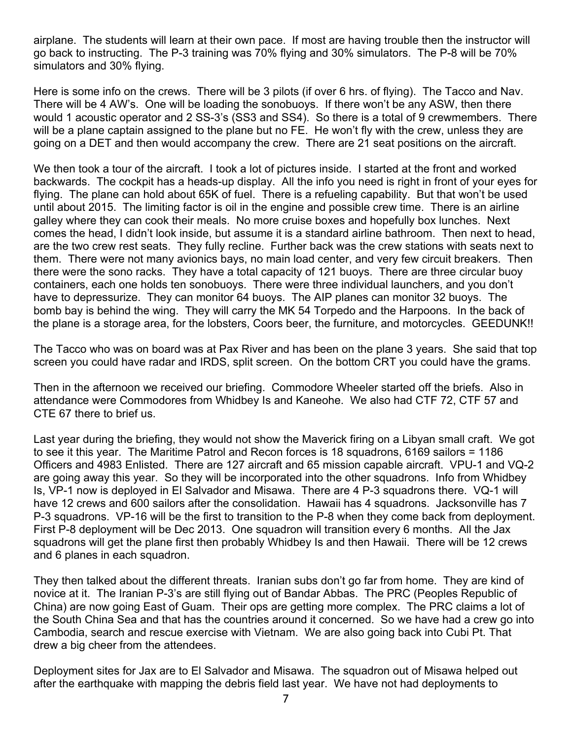airplane. The students will learn at their own pace. If most are having trouble then the instructor will go back to instructing. The P-3 training was 70% flying and 30% simulators. The P-8 will be 70% simulators and 30% flying.

Here is some info on the crews. There will be 3 pilots (if over 6 hrs. of flying). The Tacco and Nav. There will be 4 AW's. One will be loading the sonobuoys. If there won't be any ASW, then there would 1 acoustic operator and 2 SS-3's (SS3 and SS4). So there is a total of 9 crewmembers. There will be a plane captain assigned to the plane but no FE. He won't fly with the crew, unless they are going on a DET and then would accompany the crew. There are 21 seat positions on the aircraft.

We then took a tour of the aircraft. I took a lot of pictures inside. I started at the front and worked backwards. The cockpit has a heads-up display. All the info you need is right in front of your eyes for flying. The plane can hold about 65K of fuel. There is a refueling capability. But that won't be used until about 2015. The limiting factor is oil in the engine and possible crew time. There is an airline galley where they can cook their meals. No more cruise boxes and hopefully box lunches. Next comes the head, I didn't look inside, but assume it is a standard airline bathroom. Then next to head, are the two crew rest seats. They fully recline. Further back was the crew stations with seats next to them. There were not many avionics bays, no main load center, and very few circuit breakers. Then there were the sono racks. They have a total capacity of 121 buoys. There are three circular buoy containers, each one holds ten sonobuoys. There were three individual launchers, and you don't have to depressurize. They can monitor 64 buoys. The AIP planes can monitor 32 buoys. The bomb bay is behind the wing. They will carry the MK 54 Torpedo and the Harpoons. In the back of the plane is a storage area, for the lobsters, Coors beer, the furniture, and motorcycles. GEEDUNK!!

The Tacco who was on board was at Pax River and has been on the plane 3 years. She said that top screen you could have radar and IRDS, split screen. On the bottom CRT you could have the grams.

Then in the afternoon we received our briefing. Commodore Wheeler started off the briefs. Also in attendance were Commodores from Whidbey Is and Kaneohe. We also had CTF 72, CTF 57 and CTE 67 there to brief us.

Last year during the briefing, they would not show the Maverick firing on a Libyan small craft. We got to see it this year. The Maritime Patrol and Recon forces is 18 squadrons, 6169 sailors = 1186 Officers and 4983 Enlisted. There are 127 aircraft and 65 mission capable aircraft. VPU-1 and VQ-2 are going away this year. So they will be incorporated into the other squadrons. Info from Whidbey Is, VP-1 now is deployed in El Salvador and Misawa. There are 4 P-3 squadrons there. VQ-1 will have 12 crews and 600 sailors after the consolidation. Hawaii has 4 squadrons. Jacksonville has 7 P-3 squadrons. VP-16 will be the first to transition to the P-8 when they come back from deployment. First P-8 deployment will be Dec 2013. One squadron will transition every 6 months. All the Jax squadrons will get the plane first then probably Whidbey Is and then Hawaii. There will be 12 crews and 6 planes in each squadron.

They then talked about the different threats. Iranian subs don't go far from home. They are kind of novice at it. The Iranian P-3's are still flying out of Bandar Abbas. The PRC (Peoples Republic of China) are now going East of Guam. Their ops are getting more complex. The PRC claims a lot of the South China Sea and that has the countries around it concerned. So we have had a crew go into Cambodia, search and rescue exercise with Vietnam. We are also going back into Cubi Pt. That drew a big cheer from the attendees.

Deployment sites for Jax are to El Salvador and Misawa. The squadron out of Misawa helped out after the earthquake with mapping the debris field last year. We have not had deployments to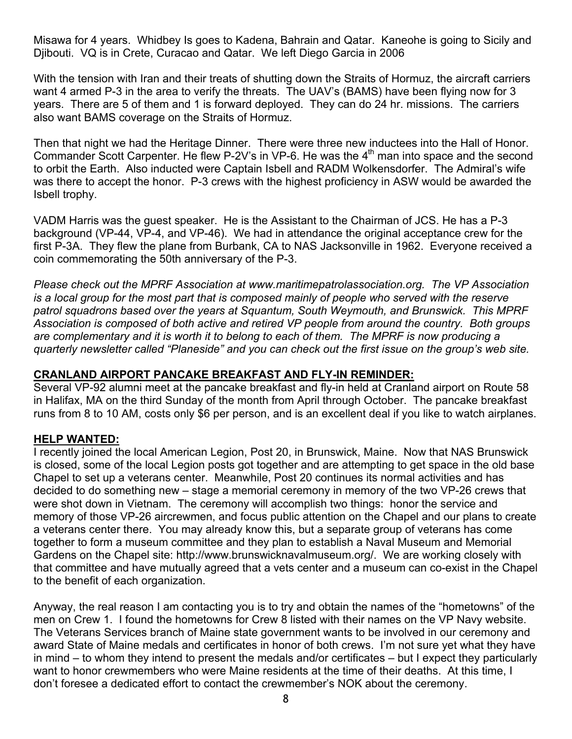Misawa for 4 years. Whidbey Is goes to Kadena, Bahrain and Qatar. Kaneohe is going to Sicily and Djibouti. VQ is in Crete, Curacao and Qatar. We left Diego Garcia in 2006

With the tension with Iran and their treats of shutting down the Straits of Hormuz, the aircraft carriers want 4 armed P-3 in the area to verify the threats. The UAV's (BAMS) have been flying now for 3 years. There are 5 of them and 1 is forward deployed. They can do 24 hr. missions. The carriers also want BAMS coverage on the Straits of Hormuz.

Then that night we had the Heritage Dinner. There were three new inductees into the Hall of Honor. Commander Scott Carpenter. He flew P-2V's in VP-6. He was the  $4<sup>th</sup>$  man into space and the second to orbit the Earth. Also inducted were Captain Isbell and RADM Wolkensdorfer. The Admiral's wife was there to accept the honor. P-3 crews with the highest proficiency in ASW would be awarded the Isbell trophy.

VADM Harris was the guest speaker. He is the Assistant to the Chairman of JCS. He has a P-3 background (VP-44, VP-4, and VP-46). We had in attendance the original acceptance crew for the first P-3A. They flew the plane from Burbank, CA to NAS Jacksonville in 1962. Everyone received a coin commemorating the 50th anniversary of the P-3.

*Please check out the MPRF Association at www.maritimepatrolassociation.org. The VP Association*  is a local group for the most part that is composed mainly of people who served with the reserve *patrol squadrons based over the years at Squantum, South Weymouth, and Brunswick. This MPRF Association is composed of both active and retired VP people from around the country. Both groups are complementary and it is worth it to belong to each of them. The MPRF is now producing a quarterly newsletter called "Planeside" and you can check out the first issue on the group's web site.* 

#### **CRANLAND AIRPORT PANCAKE BREAKFAST AND FLY-IN REMINDER:**

Several VP-92 alumni meet at the pancake breakfast and fly-in held at Cranland airport on Route 58 in Halifax, MA on the third Sunday of the month from April through October. The pancake breakfast runs from 8 to 10 AM, costs only \$6 per person, and is an excellent deal if you like to watch airplanes.

#### **HELP WANTED:**

I recently joined the local American Legion, Post 20, in Brunswick, Maine. Now that NAS Brunswick is closed, some of the local Legion posts got together and are attempting to get space in the old base Chapel to set up a veterans center. Meanwhile, Post 20 continues its normal activities and has decided to do something new – stage a memorial ceremony in memory of the two VP-26 crews that were shot down in Vietnam. The ceremony will accomplish two things: honor the service and memory of those VP-26 aircrewmen, and focus public attention on the Chapel and our plans to create a veterans center there. You may already know this, but a separate group of veterans has come together to form a museum committee and they plan to establish a Naval Museum and Memorial Gardens on the Chapel site: http://www.brunswicknavalmuseum.org/. We are working closely with that committee and have mutually agreed that a vets center and a museum can co-exist in the Chapel to the benefit of each organization.

Anyway, the real reason I am contacting you is to try and obtain the names of the "hometowns" of the men on Crew 1. I found the hometowns for Crew 8 listed with their names on the VP Navy website. The Veterans Services branch of Maine state government wants to be involved in our ceremony and award State of Maine medals and certificates in honor of both crews. I'm not sure yet what they have in mind – to whom they intend to present the medals and/or certificates – but I expect they particularly want to honor crewmembers who were Maine residents at the time of their deaths. At this time, I don't foresee a dedicated effort to contact the crewmember's NOK about the ceremony.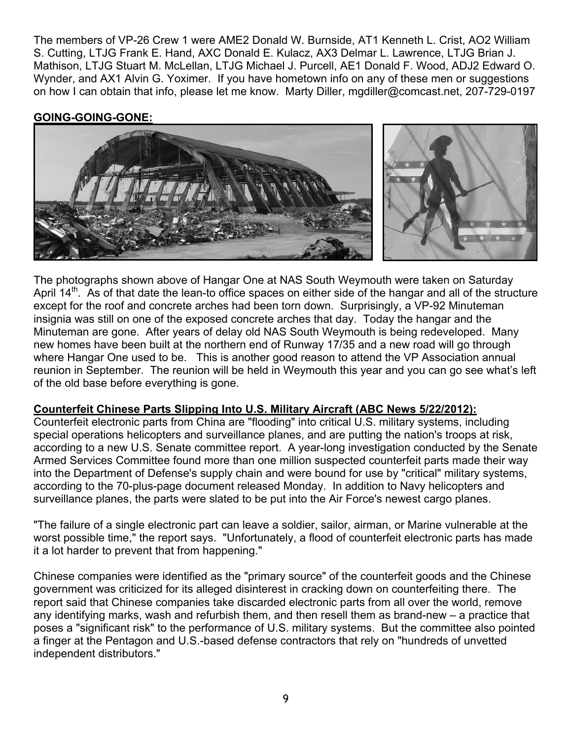The members of VP-26 Crew 1 were AME2 Donald W. Burnside, AT1 Kenneth L. Crist, AO2 William S. Cutting, LTJG Frank E. Hand, AXC Donald E. Kulacz, AX3 Delmar L. Lawrence, LTJG Brian J. Mathison, LTJG Stuart M. McLellan, LTJG Michael J. Purcell, AE1 Donald F. Wood, ADJ2 Edward O. Wynder, and AX1 Alvin G. Yoximer. If you have hometown info on any of these men or suggestions on how I can obtain that info, please let me know. Marty Diller, mgdiller@comcast.net, 207-729-0197

# **GOING-GOING-GONE:**



The photographs shown above of Hangar One at NAS South Weymouth were taken on Saturday April 14<sup>th</sup>. As of that date the lean-to office spaces on either side of the hangar and all of the structure except for the roof and concrete arches had been torn down. Surprisingly, a VP-92 Minuteman insignia was still on one of the exposed concrete arches that day. Today the hangar and the Minuteman are gone. After years of delay old NAS South Weymouth is being redeveloped. Many new homes have been built at the northern end of Runway 17/35 and a new road will go through where Hangar One used to be. This is another good reason to attend the VP Association annual reunion in September. The reunion will be held in Weymouth this year and you can go see what's left of the old base before everything is gone.

#### **Counterfeit Chinese Parts Slipping Into U.S. Military Aircraft (ABC News 5/22/2012):**

Counterfeit electronic parts from China are "flooding" into critical U.S. military systems, including special operations helicopters and surveillance planes, and are putting the nation's troops at risk, according to a new U.S. Senate committee report. A year-long investigation conducted by the Senate Armed Services Committee found more than one million suspected counterfeit parts made their way into the Department of Defense's supply chain and were bound for use by "critical" military systems, according to the 70-plus-page document released Monday. In addition to Navy helicopters and surveillance planes, the parts were slated to be put into the Air Force's newest cargo planes.

"The failure of a single electronic part can leave a soldier, sailor, airman, or Marine vulnerable at the worst possible time," the report says. "Unfortunately, a flood of counterfeit electronic parts has made it a lot harder to prevent that from happening."

Chinese companies were identified as the "primary source" of the counterfeit goods and the Chinese government was criticized for its alleged disinterest in cracking down on counterfeiting there. The report said that Chinese companies take discarded electronic parts from all over the world, remove any identifying marks, wash and refurbish them, and then resell them as brand-new – a practice that poses a "significant risk" to the performance of U.S. military systems. But the committee also pointed a finger at the Pentagon and U.S.-based defense contractors that rely on "hundreds of unvetted independent distributors."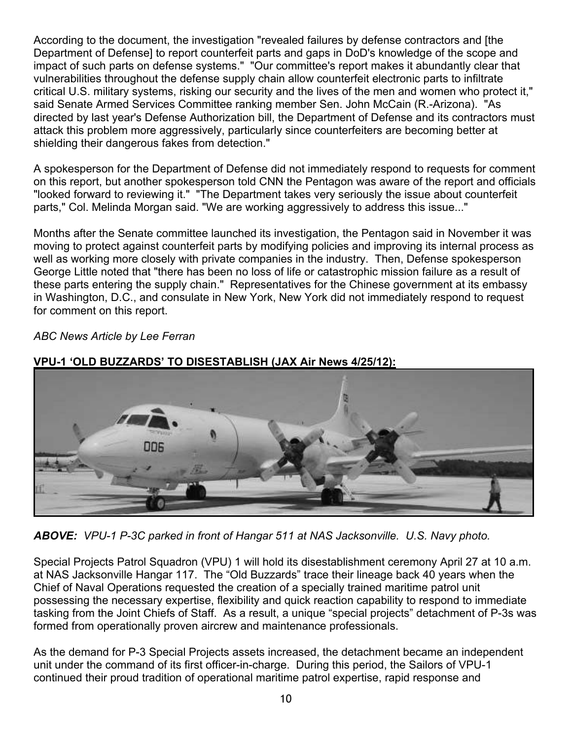According to the document, the investigation "revealed failures by defense contractors and [the Department of Defense] to report counterfeit parts and gaps in DoD's knowledge of the scope and impact of such parts on defense systems." "Our committee's report makes it abundantly clear that vulnerabilities throughout the defense supply chain allow counterfeit electronic parts to infiltrate critical U.S. military systems, risking our security and the lives of the men and women who protect it," said Senate Armed Services Committee ranking member Sen. John McCain (R.-Arizona). "As directed by last year's Defense Authorization bill, the Department of Defense and its contractors must attack this problem more aggressively, particularly since counterfeiters are becoming better at shielding their dangerous fakes from detection."

A spokesperson for the Department of Defense did not immediately respond to requests for comment on this report, but another spokesperson told CNN the Pentagon was aware of the report and officials "looked forward to reviewing it." "The Department takes very seriously the issue about counterfeit parts," Col. Melinda Morgan said. "We are working aggressively to address this issue..."

Months after the Senate committee launched its investigation, the Pentagon said in November it was moving to protect against counterfeit parts by modifying policies and improving its internal process as well as working more closely with private companies in the industry. Then, Defense spokesperson George Little noted that "there has been no loss of life or catastrophic mission failure as a result of these parts entering the supply chain." Representatives for the Chinese government at its embassy in Washington, D.C., and consulate in New York, New York did not immediately respond to request for comment on this report.



*ABC News Article by Lee Ferran* 

*ABOVE: VPU-1 P-3C parked in front of Hangar 511 at NAS Jacksonville. U.S. Navy photo.* 

Special Projects Patrol Squadron (VPU) 1 will hold its disestablishment ceremony April 27 at 10 a.m. at NAS Jacksonville Hangar 117. The "Old Buzzards" trace their lineage back 40 years when the Chief of Naval Operations requested the creation of a specially trained maritime patrol unit possessing the necessary expertise, flexibility and quick reaction capability to respond to immediate tasking from the Joint Chiefs of Staff. As a result, a unique "special projects" detachment of P-3s was formed from operationally proven aircrew and maintenance professionals.

As the demand for P-3 Special Projects assets increased, the detachment became an independent unit under the command of its first officer-in-charge. During this period, the Sailors of VPU-1 continued their proud tradition of operational maritime patrol expertise, rapid response and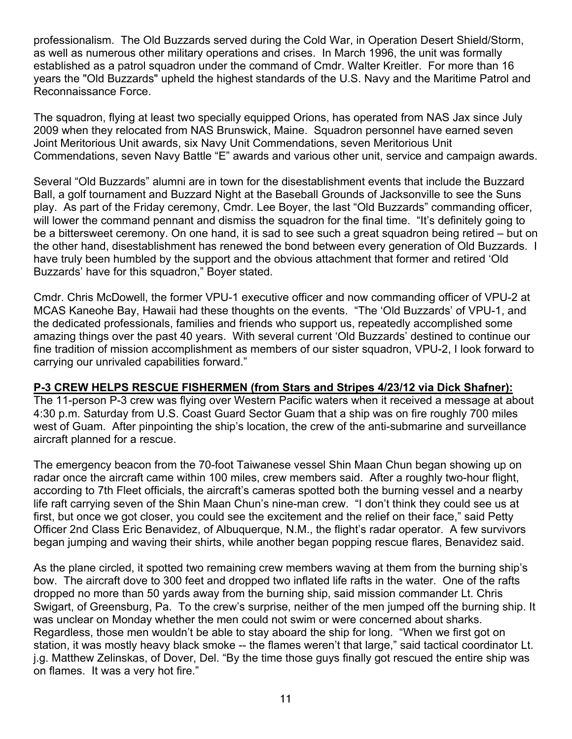professionalism. The Old Buzzards served during the Cold War, in Operation Desert Shield/Storm, as well as numerous other military operations and crises. In March 1996, the unit was formally established as a patrol squadron under the command of Cmdr. Walter Kreitler. For more than 16 years the "Old Buzzards" upheld the highest standards of the U.S. Navy and the Maritime Patrol and Reconnaissance Force.

The squadron, flying at least two specially equipped Orions, has operated from NAS Jax since July 2009 when they relocated from NAS Brunswick, Maine. Squadron personnel have earned seven Joint Meritorious Unit awards, six Navy Unit Commendations, seven Meritorious Unit Commendations, seven Navy Battle "E" awards and various other unit, service and campaign awards.

Several "Old Buzzards" alumni are in town for the disestablishment events that include the Buzzard Ball, a golf tournament and Buzzard Night at the Baseball Grounds of Jacksonville to see the Suns play. As part of the Friday ceremony, Cmdr. Lee Boyer, the last "Old Buzzards" commanding officer, will lower the command pennant and dismiss the squadron for the final time. "It's definitely going to be a bittersweet ceremony. On one hand, it is sad to see such a great squadron being retired – but on the other hand, disestablishment has renewed the bond between every generation of Old Buzzards. I have truly been humbled by the support and the obvious attachment that former and retired 'Old Buzzards' have for this squadron," Boyer stated.

Cmdr. Chris McDowell, the former VPU-1 executive officer and now commanding officer of VPU-2 at MCAS Kaneohe Bay, Hawaii had these thoughts on the events. "The 'Old Buzzards' of VPU-1, and the dedicated professionals, families and friends who support us, repeatedly accomplished some amazing things over the past 40 years. With several current 'Old Buzzards' destined to continue our fine tradition of mission accomplishment as members of our sister squadron, VPU-2, I look forward to carrying our unrivaled capabilities forward."

#### **P-3 CREW HELPS RESCUE FISHERMEN (from Stars and Stripes 4/23/12 via Dick Shafner):**

The 11-person P-3 crew was flying over Western Pacific waters when it received a message at about 4:30 p.m. Saturday from U.S. Coast Guard Sector Guam that a ship was on fire roughly 700 miles west of Guam. After pinpointing the ship's location, the crew of the anti-submarine and surveillance aircraft planned for a rescue.

The emergency beacon from the 70-foot Taiwanese vessel Shin Maan Chun began showing up on radar once the aircraft came within 100 miles, crew members said. After a roughly two-hour flight, according to 7th Fleet officials, the aircraft's cameras spotted both the burning vessel and a nearby life raft carrying seven of the Shin Maan Chun's nine-man crew. "I don't think they could see us at first, but once we got closer, you could see the excitement and the relief on their face," said Petty Officer 2nd Class Eric Benavidez, of Albuquerque, N.M., the flight's radar operator. A few survivors began jumping and waving their shirts, while another began popping rescue flares, Benavidez said.

As the plane circled, it spotted two remaining crew members waving at them from the burning ship's bow. The aircraft dove to 300 feet and dropped two inflated life rafts in the water. One of the rafts dropped no more than 50 yards away from the burning ship, said mission commander Lt. Chris Swigart, of Greensburg, Pa. To the crew's surprise, neither of the men jumped off the burning ship. It was unclear on Monday whether the men could not swim or were concerned about sharks. Regardless, those men wouldn't be able to stay aboard the ship for long. "When we first got on station, it was mostly heavy black smoke -- the flames weren't that large," said tactical coordinator Lt. j.g. Matthew Zelinskas, of Dover, Del. "By the time those guys finally got rescued the entire ship was on flames. It was a very hot fire."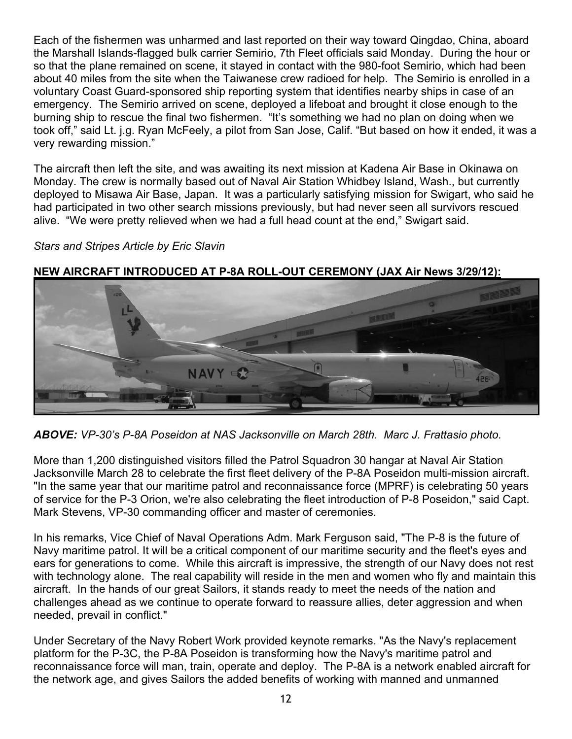Each of the fishermen was unharmed and last reported on their way toward Qingdao, China, aboard the Marshall Islands-flagged bulk carrier Semirio, 7th Fleet officials said Monday. During the hour or so that the plane remained on scene, it stayed in contact with the 980-foot Semirio, which had been about 40 miles from the site when the Taiwanese crew radioed for help. The Semirio is enrolled in a voluntary Coast Guard-sponsored ship reporting system that identifies nearby ships in case of an emergency. The Semirio arrived on scene, deployed a lifeboat and brought it close enough to the burning ship to rescue the final two fishermen. "It's something we had no plan on doing when we took off," said Lt. j.g. Ryan McFeely, a pilot from San Jose, Calif. "But based on how it ended, it was a very rewarding mission."

The aircraft then left the site, and was awaiting its next mission at Kadena Air Base in Okinawa on Monday. The crew is normally based out of Naval Air Station Whidbey Island, Wash., but currently deployed to Misawa Air Base, Japan. It was a particularly satisfying mission for Swigart, who said he had participated in two other search missions previously, but had never seen all survivors rescued alive. "We were pretty relieved when we had a full head count at the end," Swigart said.

#### *Stars and Stripes Article by Eric Slavin*

#### **NEW AIRCRAFT INTRODUCED AT P-8A ROLL-OUT CEREMONY (JAX Air News 3/29/12):**



*ABOVE: VP-30's P-8A Poseidon at NAS Jacksonville on March 28th. Marc J. Frattasio photo.* 

More than 1,200 distinguished visitors filled the Patrol Squadron 30 hangar at Naval Air Station Jacksonville March 28 to celebrate the first fleet delivery of the P-8A Poseidon multi-mission aircraft. "In the same year that our maritime patrol and reconnaissance force (MPRF) is celebrating 50 years of service for the P-3 Orion, we're also celebrating the fleet introduction of P-8 Poseidon," said Capt. Mark Stevens, VP-30 commanding officer and master of ceremonies.

In his remarks, Vice Chief of Naval Operations Adm. Mark Ferguson said, "The P-8 is the future of Navy maritime patrol. It will be a critical component of our maritime security and the fleet's eyes and ears for generations to come. While this aircraft is impressive, the strength of our Navy does not rest with technology alone. The real capability will reside in the men and women who fly and maintain this aircraft. In the hands of our great Sailors, it stands ready to meet the needs of the nation and challenges ahead as we continue to operate forward to reassure allies, deter aggression and when needed, prevail in conflict."

Under Secretary of the Navy Robert Work provided keynote remarks. "As the Navy's replacement platform for the P-3C, the P-8A Poseidon is transforming how the Navy's maritime patrol and reconnaissance force will man, train, operate and deploy. The P-8A is a network enabled aircraft for the network age, and gives Sailors the added benefits of working with manned and unmanned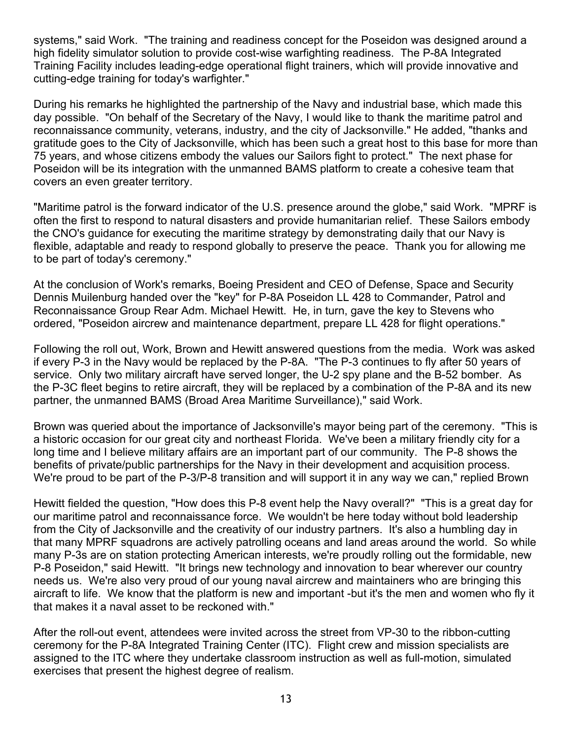systems," said Work. "The training and readiness concept for the Poseidon was designed around a high fidelity simulator solution to provide cost-wise warfighting readiness. The P-8A Integrated Training Facility includes leading-edge operational flight trainers, which will provide innovative and cutting-edge training for today's warfighter."

During his remarks he highlighted the partnership of the Navy and industrial base, which made this day possible. "On behalf of the Secretary of the Navy, I would like to thank the maritime patrol and reconnaissance community, veterans, industry, and the city of Jacksonville." He added, "thanks and gratitude goes to the City of Jacksonville, which has been such a great host to this base for more than 75 years, and whose citizens embody the values our Sailors fight to protect." The next phase for Poseidon will be its integration with the unmanned BAMS platform to create a cohesive team that covers an even greater territory.

"Maritime patrol is the forward indicator of the U.S. presence around the globe," said Work. "MPRF is often the first to respond to natural disasters and provide humanitarian relief. These Sailors embody the CNO's guidance for executing the maritime strategy by demonstrating daily that our Navy is flexible, adaptable and ready to respond globally to preserve the peace. Thank you for allowing me to be part of today's ceremony."

At the conclusion of Work's remarks, Boeing President and CEO of Defense, Space and Security Dennis Muilenburg handed over the "key" for P-8A Poseidon LL 428 to Commander, Patrol and Reconnaissance Group Rear Adm. Michael Hewitt. He, in turn, gave the key to Stevens who ordered, "Poseidon aircrew and maintenance department, prepare LL 428 for flight operations."

Following the roll out, Work, Brown and Hewitt answered questions from the media. Work was asked if every P-3 in the Navy would be replaced by the P-8A. "The P-3 continues to fly after 50 years of service. Only two military aircraft have served longer, the U-2 spy plane and the B-52 bomber. As the P-3C fleet begins to retire aircraft, they will be replaced by a combination of the P-8A and its new partner, the unmanned BAMS (Broad Area Maritime Surveillance)," said Work.

Brown was queried about the importance of Jacksonville's mayor being part of the ceremony. "This is a historic occasion for our great city and northeast Florida. We've been a military friendly city for a long time and I believe military affairs are an important part of our community. The P-8 shows the benefits of private/public partnerships for the Navy in their development and acquisition process. We're proud to be part of the P-3/P-8 transition and will support it in any way we can," replied Brown

Hewitt fielded the question, "How does this P-8 event help the Navy overall?" "This is a great day for our maritime patrol and reconnaissance force. We wouldn't be here today without bold leadership from the City of Jacksonville and the creativity of our industry partners. It's also a humbling day in that many MPRF squadrons are actively patrolling oceans and land areas around the world. So while many P-3s are on station protecting American interests, we're proudly rolling out the formidable, new P-8 Poseidon," said Hewitt. "It brings new technology and innovation to bear wherever our country needs us. We're also very proud of our young naval aircrew and maintainers who are bringing this aircraft to life. We know that the platform is new and important -but it's the men and women who fly it that makes it a naval asset to be reckoned with."

After the roll-out event, attendees were invited across the street from VP-30 to the ribbon-cutting ceremony for the P-8A Integrated Training Center (ITC). Flight crew and mission specialists are assigned to the ITC where they undertake classroom instruction as well as full-motion, simulated exercises that present the highest degree of realism.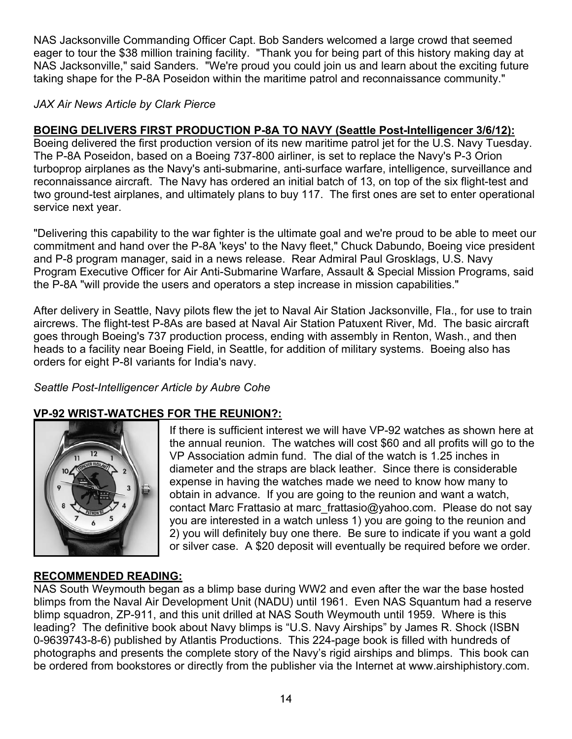NAS Jacksonville Commanding Officer Capt. Bob Sanders welcomed a large crowd that seemed eager to tour the \$38 million training facility. "Thank you for being part of this history making day at NAS Jacksonville," said Sanders. "We're proud you could join us and learn about the exciting future taking shape for the P-8A Poseidon within the maritime patrol and reconnaissance community."

*JAX Air News Article by Clark Pierce* 

# **BOEING DELIVERS FIRST PRODUCTION P-8A TO NAVY (Seattle Post-Intelligencer 3/6/12):**

Boeing delivered the first production version of its new maritime patrol jet for the U.S. Navy Tuesday. The P-8A Poseidon, based on a Boeing 737-800 airliner, is set to replace the Navy's P-3 Orion turboprop airplanes as the Navy's anti-submarine, anti-surface warfare, intelligence, surveillance and reconnaissance aircraft. The Navy has ordered an initial batch of 13, on top of the six flight-test and two ground-test airplanes, and ultimately plans to buy 117. The first ones are set to enter operational service next year.

"Delivering this capability to the war fighter is the ultimate goal and we're proud to be able to meet our commitment and hand over the P-8A 'keys' to the Navy fleet," Chuck Dabundo, Boeing vice president and P-8 program manager, said in a news release. Rear Admiral Paul Grosklags, U.S. Navy Program Executive Officer for Air Anti-Submarine Warfare, Assault & Special Mission Programs, said the P-8A "will provide the users and operators a step increase in mission capabilities."

After delivery in Seattle, Navy pilots flew the jet to Naval Air Station Jacksonville, Fla., for use to train aircrews. The flight-test P-8As are based at Naval Air Station Patuxent River, Md. The basic aircraft goes through Boeing's 737 production process, ending with assembly in Renton, Wash., and then heads to a facility near Boeing Field, in Seattle, for addition of military systems. Boeing also has orders for eight P-8I variants for India's navy.

*Seattle Post-Intelligencer Article by Aubre Cohe* 

# **VP-92 WRIST-WATCHES FOR THE REUNION?:**



If there is sufficient interest we will have VP-92 watches as shown here at the annual reunion. The watches will cost \$60 and all profits will go to the VP Association admin fund. The dial of the watch is 1.25 inches in diameter and the straps are black leather. Since there is considerable expense in having the watches made we need to know how many to obtain in advance. If you are going to the reunion and want a watch, contact Marc Frattasio at marc frattasio@yahoo.com. Please do not say you are interested in a watch unless 1) you are going to the reunion and 2) you will definitely buy one there. Be sure to indicate if you want a gold or silver case. A \$20 deposit will eventually be required before we order.

# **RECOMMENDED READING:**

NAS South Weymouth began as a blimp base during WW2 and even after the war the base hosted blimps from the Naval Air Development Unit (NADU) until 1961. Even NAS Squantum had a reserve blimp squadron, ZP-911, and this unit drilled at NAS South Weymouth until 1959. Where is this leading? The definitive book about Navy blimps is "U.S. Navy Airships" by James R. Shock (ISBN 0-9639743-8-6) published by Atlantis Productions. This 224-page book is filled with hundreds of photographs and presents the complete story of the Navy's rigid airships and blimps. This book can be ordered from bookstores or directly from the publisher via the Internet at www.airshiphistory.com.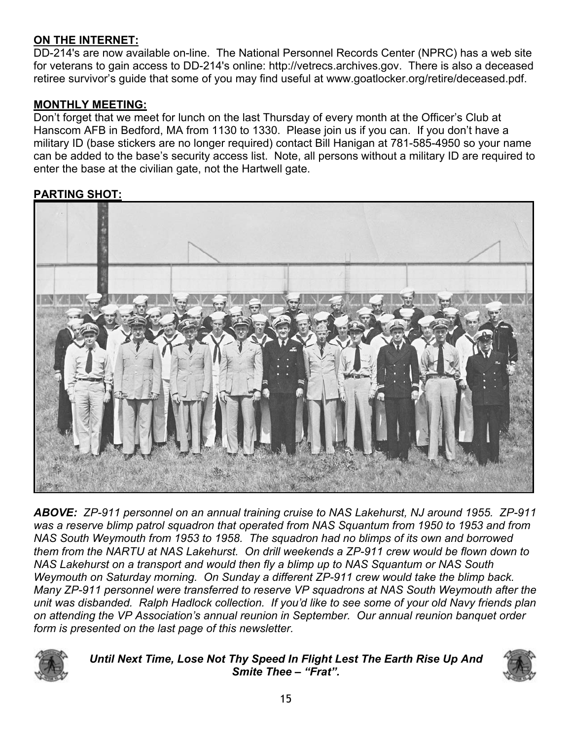# **ON THE INTERNET:**

DD-214's are now available on-line. The National Personnel Records Center (NPRC) has a web site for veterans to gain access to DD-214's online: http://vetrecs.archives.gov. There is also a deceased retiree survivor's guide that some of you may find useful at www.goatlocker.org/retire/deceased.pdf.

# **MONTHLY MEETING:**

Don't forget that we meet for lunch on the last Thursday of every month at the Officer's Club at Hanscom AFB in Bedford, MA from 1130 to 1330. Please join us if you can. If you don't have a military ID (base stickers are no longer required) contact Bill Hanigan at 781-585-4950 so your name can be added to the base's security access list. Note, all persons without a military ID are required to enter the base at the civilian gate, not the Hartwell gate.

# **PARTING SHOT:**



*ABOVE: ZP-911 personnel on an annual training cruise to NAS Lakehurst, NJ around 1955. ZP-911 was a reserve blimp patrol squadron that operated from NAS Squantum from 1950 to 1953 and from NAS South Weymouth from 1953 to 1958. The squadron had no blimps of its own and borrowed them from the NARTU at NAS Lakehurst. On drill weekends a ZP-911 crew would be flown down to NAS Lakehurst on a transport and would then fly a blimp up to NAS Squantum or NAS South Weymouth on Saturday morning. On Sunday a different ZP-911 crew would take the blimp back. Many ZP-911 personnel were transferred to reserve VP squadrons at NAS South Weymouth after the unit was disbanded. Ralph Hadlock collection. If you'd like to see some of your old Navy friends plan on attending the VP Association's annual reunion in September. Our annual reunion banquet order form is presented on the last page of this newsletter.* 



*Until Next Time, Lose Not Thy Speed In Flight Lest The Earth Rise Up And Smite Thee – "Frat".*